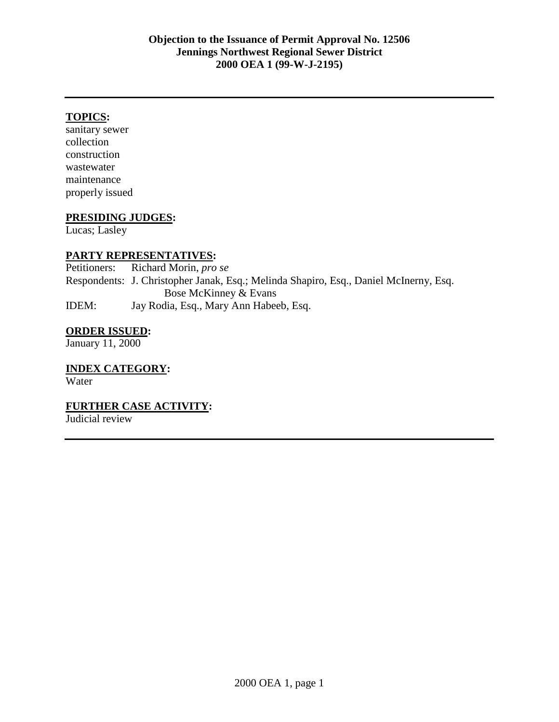# **TOPICS:**

sanitary sewer collection construction wastewater maintenance properly issued

# **PRESIDING JUDGES:**

Lucas; Lasley

## **PARTY REPRESENTATIVES:**

Petitioners: Richard Morin, *pro se* Respondents: J. Christopher Janak, Esq.; Melinda Shapiro, Esq., Daniel McInerny, Esq. Bose McKinney & Evans IDEM: Jay Rodia, Esq., Mary Ann Habeeb, Esq.

## **ORDER ISSUED:**

January 11, 2000

# **INDEX CATEGORY:**

Water

# **FURTHER CASE ACTIVITY:**

Judicial review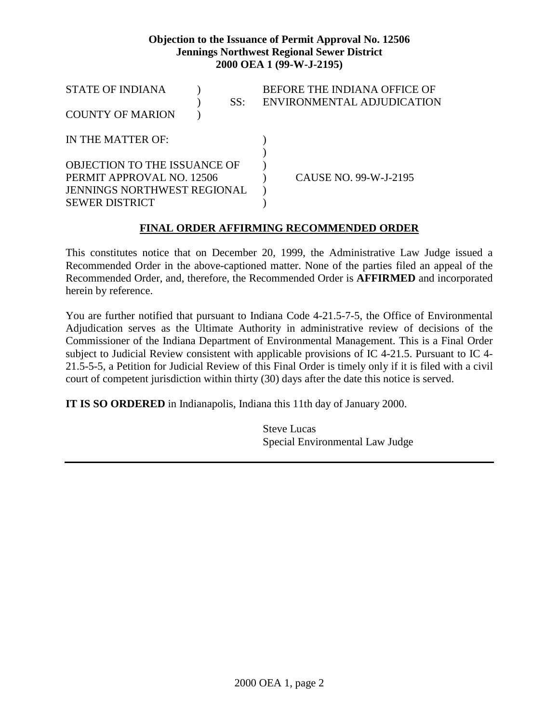## **Objection to the Issuance of Permit Approval No. 12506 Jennings Northwest Regional Sewer District 2000 OEA 1 (99-W-J-2195)**

| <b>STATE OF INDIANA</b>             |  |     | BEFORE THE INDIANA OFFICE OF |
|-------------------------------------|--|-----|------------------------------|
|                                     |  | SS: | ENVIRONMENTAL ADJUDICATION   |
| <b>COUNTY OF MARION</b>             |  |     |                              |
|                                     |  |     |                              |
| IN THE MATTER OF:                   |  |     |                              |
|                                     |  |     |                              |
| <b>OBJECTION TO THE ISSUANCE OF</b> |  |     |                              |
| PERMIT APPROVAL NO. 12506           |  |     | CAUSE NO. 99-W-J-2195        |
| <b>JENNINGS NORTHWEST REGIONAL</b>  |  |     |                              |
| <b>SEWER DISTRICT</b>               |  |     |                              |

# **FINAL ORDER AFFIRMING RECOMMENDED ORDER**

This constitutes notice that on December 20, 1999, the Administrative Law Judge issued a Recommended Order in the above-captioned matter. None of the parties filed an appeal of the Recommended Order, and, therefore, the Recommended Order is **AFFIRMED** and incorporated herein by reference.

You are further notified that pursuant to Indiana Code 4-21.5-7-5, the Office of Environmental Adjudication serves as the Ultimate Authority in administrative review of decisions of the Commissioner of the Indiana Department of Environmental Management. This is a Final Order subject to Judicial Review consistent with applicable provisions of IC 4-21.5. Pursuant to IC 4- 21.5-5-5, a Petition for Judicial Review of this Final Order is timely only if it is filed with a civil court of competent jurisdiction within thirty (30) days after the date this notice is served.

**IT IS SO ORDERED** in Indianapolis, Indiana this 11th day of January 2000.

Steve Lucas Special Environmental Law Judge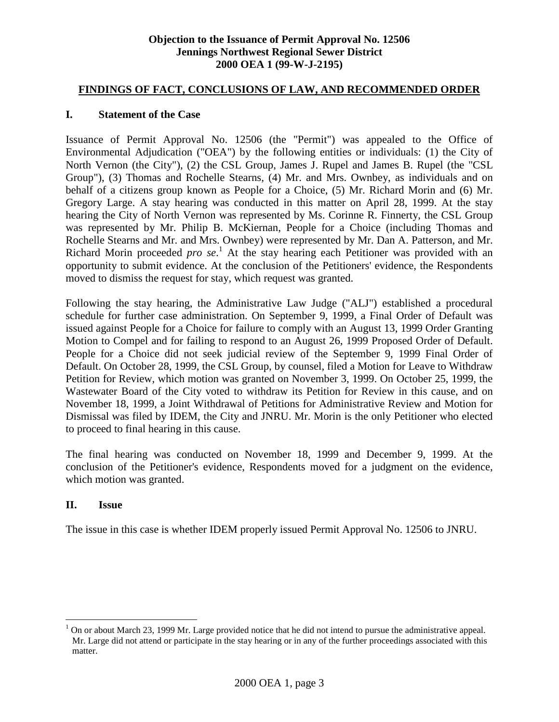## **Objection to the Issuance of Permit Approval No. 12506 Jennings Northwest Regional Sewer District 2000 OEA 1 (99-W-J-2195)**

#### **FINDINGS OF FACT, CONCLUSIONS OF LAW, AND RECOMMENDED ORDER**

#### **I. Statement of the Case**

Issuance of Permit Approval No. 12506 (the "Permit") was appealed to the Office of Environmental Adjudication ("OEA") by the following entities or individuals: (1) the City of North Vernon (the City"), (2) the CSL Group, James J. Rupel and James B. Rupel (the "CSL Group"), (3) Thomas and Rochelle Stearns, (4) Mr. and Mrs. Ownbey, as individuals and on behalf of a citizens group known as People for a Choice, (5) Mr. Richard Morin and (6) Mr. Gregory Large. A stay hearing was conducted in this matter on April 28, 1999. At the stay hearing the City of North Vernon was represented by Ms. Corinne R. Finnerty, the CSL Group was represented by Mr. Philip B. McKiernan, People for a Choice (including Thomas and Rochelle Stearns and Mr. and Mrs. Ownbey) were represented by Mr. Dan A. Patterson, and Mr. Richard Morin proceeded *pro se*.<sup>1</sup> At the stay hearing each Petitioner was provided with an opportunity to submit evidence. At the conclusion of the Petitioners' evidence, the Respondents moved to dismiss the request for stay, which request was granted.

Following the stay hearing, the Administrative Law Judge ("ALJ") established a procedural schedule for further case administration. On September 9, 1999, a Final Order of Default was issued against People for a Choice for failure to comply with an August 13, 1999 Order Granting Motion to Compel and for failing to respond to an August 26, 1999 Proposed Order of Default. People for a Choice did not seek judicial review of the September 9, 1999 Final Order of Default. On October 28, 1999, the CSL Group, by counsel, filed a Motion for Leave to Withdraw Petition for Review, which motion was granted on November 3, 1999. On October 25, 1999, the Wastewater Board of the City voted to withdraw its Petition for Review in this cause, and on November 18, 1999, a Joint Withdrawal of Petitions for Administrative Review and Motion for Dismissal was filed by IDEM, the City and JNRU. Mr. Morin is the only Petitioner who elected to proceed to final hearing in this cause.

The final hearing was conducted on November 18, 1999 and December 9, 1999. At the conclusion of the Petitioner's evidence, Respondents moved for a judgment on the evidence, which motion was granted.

#### **II. Issue**

<u>.</u>

The issue in this case is whether IDEM properly issued Permit Approval No. 12506 to JNRU.

<sup>1</sup> On or about March 23, 1999 Mr. Large provided notice that he did not intend to pursue the administrative appeal. Mr. Large did not attend or participate in the stay hearing or in any of the further proceedings associated with this matter.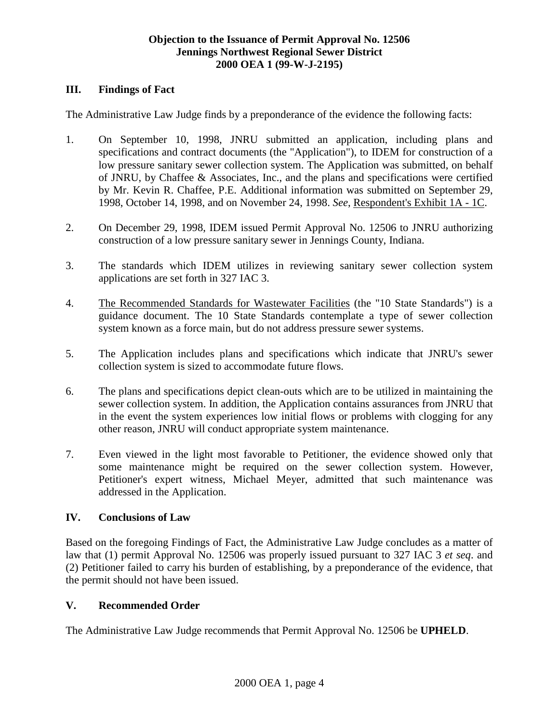## **III. Findings of Fact**

The Administrative Law Judge finds by a preponderance of the evidence the following facts:

- 1. On September 10, 1998, JNRU submitted an application, including plans and specifications and contract documents (the "Application"), to IDEM for construction of a low pressure sanitary sewer collection system. The Application was submitted, on behalf of JNRU, by Chaffee & Associates, Inc., and the plans and specifications were certified by Mr. Kevin R. Chaffee, P.E. Additional information was submitted on September 29, 1998, October 14, 1998, and on November 24, 1998. *See*, Respondent's Exhibit 1A - 1C.
- 2. On December 29, 1998, IDEM issued Permit Approval No. 12506 to JNRU authorizing construction of a low pressure sanitary sewer in Jennings County, Indiana.
- 3. The standards which IDEM utilizes in reviewing sanitary sewer collection system applications are set forth in 327 IAC 3.
- 4. The Recommended Standards for Wastewater Facilities (the "10 State Standards") is a guidance document. The 10 State Standards contemplate a type of sewer collection system known as a force main, but do not address pressure sewer systems.
- 5. The Application includes plans and specifications which indicate that JNRU's sewer collection system is sized to accommodate future flows.
- 6. The plans and specifications depict clean-outs which are to be utilized in maintaining the sewer collection system. In addition, the Application contains assurances from JNRU that in the event the system experiences low initial flows or problems with clogging for any other reason, JNRU will conduct appropriate system maintenance.
- 7. Even viewed in the light most favorable to Petitioner, the evidence showed only that some maintenance might be required on the sewer collection system. However, Petitioner's expert witness, Michael Meyer, admitted that such maintenance was addressed in the Application.

# **IV. Conclusions of Law**

Based on the foregoing Findings of Fact, the Administrative Law Judge concludes as a matter of law that (1) permit Approval No. 12506 was properly issued pursuant to 327 IAC 3 *et seq*. and (2) Petitioner failed to carry his burden of establishing, by a preponderance of the evidence, that the permit should not have been issued.

# **V. Recommended Order**

The Administrative Law Judge recommends that Permit Approval No. 12506 be **UPHELD**.